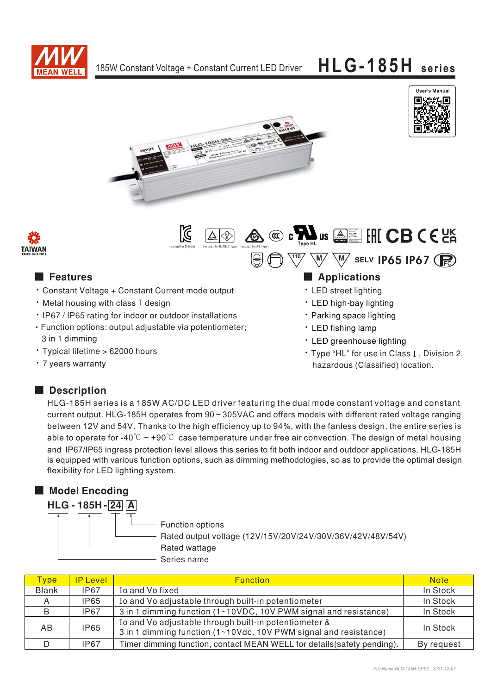

 $\mathbb N$ 





**Type HL** (except for B/AB/D-type) (except for AB-type) **Type HL** 



## ■  ■

- Constant Voltage + Constant Current mode output
- $\cdot$  Metal housing with class I design
- IP67 / IP65 rating for indoor or outdoor installations Function options: output adjustable via potentiometer;
- 3 in 1 dimming • Typical lifetime > 62000 hours
- 7 years warranty

## 

 $\frac{110}{2}$   $\sqrt{M}$   $\sqrt{M}$  selv **IP65 IP67** 

Bauari gepruft<br>Engelndiffun<br>Frodk Euro<br>Sieceashung<br>www.fus.com<br>D 20000000

- LED street lighting
- LED high-bay lighting
- Parking space lighting
- LED fishing lamp
- LED greenhouse lighting
- Type "HL" for use in Class I, Division 2 hazardous (Classified) location.

### ■ Description

HLG-185H series is a 185W AC/DC LED driver featuring the dual mode constant voltage and constant current output. HLG-185H operates from 90 ~ 305VAC and offers models with different rated voltage ranging between 12V and 54V. Thanks to the high efficiency up to 94%, with the fanless design, the entire series is able to operate for -40 $\degree$ C  $\sim$  +90 $\degree$ C case temperature under free air convection. The design of metal housing and IP67/IP65 ingress protection level allows this series to fit both indoor and outdoor applications. HLG-185H is equipped with various function options, such as dimming methodologies, so as to provide the optimal design flexibility for LED lighting system.

## ■ **Model Encoding**



| <b>Type</b>  | <b>IP Level</b> | <b>Function</b>                                                                                                           | <b>Note</b> |
|--------------|-----------------|---------------------------------------------------------------------------------------------------------------------------|-------------|
| <b>Blank</b> | IP67            | Io and Vo fixed                                                                                                           | In Stock    |
| A            | IP65            | Io and Vo adjustable through built-in potentiometer                                                                       | In Stock    |
| B            | <b>IP67</b>     | 3 in 1 dimming function (1~10VDC, 10V PWM signal and resistance)                                                          | In Stock    |
| AB.          | <b>IP65</b>     | Io and Vo adjustable through built-in potentiometer &<br>3 in 1 dimming function (1~10Vdc, 10V PWM signal and resistance) | In Stock    |
|              | IP67            | Timer dimming function, contact MEAN WELL for details (safety pending).                                                   | By request  |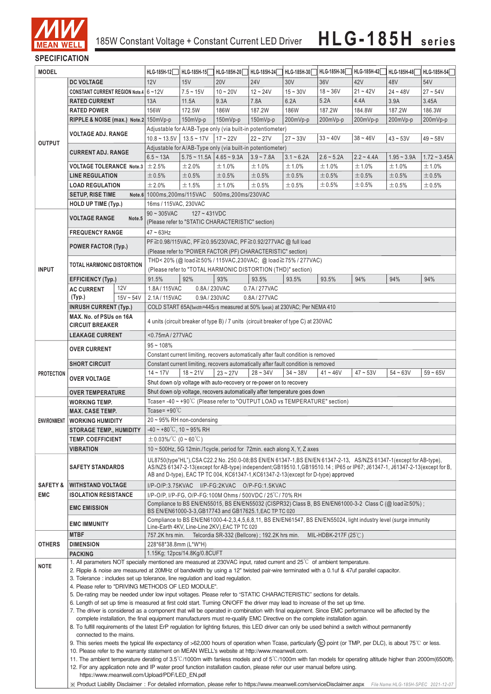

### **SPECIFICATION**

| <b>MODEL</b>                                                                                                                                                                                                                                                                        |                                                                                                                                                                                | HLG-185H-12                                                                                                                | HLG-185H-15                                                                                                                                                                                                                                                                                                                              | HLG-185H-20                                                                         | HLG-185H-24         | HLG-185H-30  | HLG-185H-36  | HLG-185H-42  | HLG-185H-48  | HLG-185H-54   |                |  |  |
|-------------------------------------------------------------------------------------------------------------------------------------------------------------------------------------------------------------------------------------------------------------------------------------|--------------------------------------------------------------------------------------------------------------------------------------------------------------------------------|----------------------------------------------------------------------------------------------------------------------------|------------------------------------------------------------------------------------------------------------------------------------------------------------------------------------------------------------------------------------------------------------------------------------------------------------------------------------------|-------------------------------------------------------------------------------------|---------------------|--------------|--------------|--------------|--------------|---------------|----------------|--|--|
|                                                                                                                                                                                                                                                                                     | <b>DC VOLTAGE</b>                                                                                                                                                              |                                                                                                                            | 12V                                                                                                                                                                                                                                                                                                                                      | 15V                                                                                 | <b>20V</b>          | <b>24V</b>   | 30V          | 36V          | 42V          | 48V           | 54V            |  |  |
|                                                                                                                                                                                                                                                                                     | CONSTANT CURRENT REGION Note.4 6~12V                                                                                                                                           |                                                                                                                            |                                                                                                                                                                                                                                                                                                                                          | $7.5 - 15V$                                                                         | $10 - 20V$          | $12 - 24V$   | $15 - 30V$   | $18 - 36V$   | $21 - 42V$   | $24 - 48V$    | $27 - 54V$     |  |  |
|                                                                                                                                                                                                                                                                                     |                                                                                                                                                                                |                                                                                                                            |                                                                                                                                                                                                                                                                                                                                          |                                                                                     |                     |              |              |              |              |               |                |  |  |
|                                                                                                                                                                                                                                                                                     | <b>RATED CURRENT</b>                                                                                                                                                           |                                                                                                                            | 13A                                                                                                                                                                                                                                                                                                                                      | 11.5A                                                                               | 9.3A                | 7.8A         | 6.2A         | 5.2A         | 4.4A         | 3.9A          | 3.45A          |  |  |
|                                                                                                                                                                                                                                                                                     | <b>RATED POWER</b>                                                                                                                                                             |                                                                                                                            | 156W                                                                                                                                                                                                                                                                                                                                     | 172.5W                                                                              | 186W                | 187.2W       | 186W         | 187.2W       | 184.8W       | 187.2W        | 186.3W         |  |  |
|                                                                                                                                                                                                                                                                                     | RIPPLE & NOISE (max.) Note.2 150mVp-p<br><b>VOLTAGE ADJ. RANGE</b><br><b>CURRENT ADJ. RANGE</b><br>VOLTAGE TOLERANCE Note.3 $\pm$ 2.5%                                         |                                                                                                                            |                                                                                                                                                                                                                                                                                                                                          | 150mVp-p                                                                            | 150mVp-p            | 150mVp-p     | 200mVp-p     | 200mVp-p     | 200mVp-p     | 200mVp-p      | 200mVp-p       |  |  |
|                                                                                                                                                                                                                                                                                     |                                                                                                                                                                                |                                                                                                                            | Adjustable for A/AB-Type only (via built-in potentiometer)                                                                                                                                                                                                                                                                               |                                                                                     |                     |              |              |              |              |               |                |  |  |
| <b>OUTPUT</b>                                                                                                                                                                                                                                                                       |                                                                                                                                                                                |                                                                                                                            | $10.8 \sim 13.5V$   13.5 ~ 17V<br>$17 - 22V$<br>$22 - 27V$<br>$27 - 33V$<br>$33 - 40V$<br>$38 - 46V$<br>$43 - 53V$<br>$49 - 58V$                                                                                                                                                                                                         |                                                                                     |                     |              |              |              |              |               |                |  |  |
|                                                                                                                                                                                                                                                                                     |                                                                                                                                                                                |                                                                                                                            | Adjustable for A/AB-Type only (via built-in potentiometer)                                                                                                                                                                                                                                                                               |                                                                                     |                     |              |              |              |              |               |                |  |  |
|                                                                                                                                                                                                                                                                                     |                                                                                                                                                                                |                                                                                                                            | $6.5 - 13A$                                                                                                                                                                                                                                                                                                                              | $5.75 \sim 11.5$ A $\vert 4.65 \sim 9.3$ A                                          |                     | $3.9 - 7.8A$ | $3.1 - 6.2A$ | $2.6 - 5.2A$ | $2.2 - 4.4A$ | $1.95 - 3.9A$ | $1.72 - 3.45A$ |  |  |
|                                                                                                                                                                                                                                                                                     |                                                                                                                                                                                |                                                                                                                            |                                                                                                                                                                                                                                                                                                                                          | ±2.0%                                                                               | ±1.0%               | ±1.0%        | ±1.0%        | ±1.0%        | ±1.0%        | ±1.0%         | ±1.0%          |  |  |
|                                                                                                                                                                                                                                                                                     | <b>LINE REGULATION</b>                                                                                                                                                         |                                                                                                                            | ±0.5%                                                                                                                                                                                                                                                                                                                                    | ±0.5%                                                                               | ±0.5%               | ±0.5%        | ±0.5%        | ±0.5%        | ± 0.5%       | ±0.5%         | ±0.5%          |  |  |
|                                                                                                                                                                                                                                                                                     | <b>LOAD REGULATION</b>                                                                                                                                                         |                                                                                                                            | ±2.0%                                                                                                                                                                                                                                                                                                                                    | ±1.5%                                                                               | ±1.0%               | ±0.5%        | ±0.5%        | ±0.5%        | ±0.5%        | ±0.5%         | $\pm 0.5\%$    |  |  |
|                                                                                                                                                                                                                                                                                     | <b>SETUP, RISE TIME</b>                                                                                                                                                        |                                                                                                                            | Note.6 1000ms, 200ms/115VAC                                                                                                                                                                                                                                                                                                              |                                                                                     | 500ms, 200ms/230VAC |              |              |              |              |               |                |  |  |
|                                                                                                                                                                                                                                                                                     | <b>HOLD UP TIME (Typ.)</b>                                                                                                                                                     |                                                                                                                            | 16ms / 115VAC, 230VAC                                                                                                                                                                                                                                                                                                                    |                                                                                     |                     |              |              |              |              |               |                |  |  |
|                                                                                                                                                                                                                                                                                     |                                                                                                                                                                                |                                                                                                                            | $90 \sim 305$ VAC<br>$127 - 431VDC$                                                                                                                                                                                                                                                                                                      |                                                                                     |                     |              |              |              |              |               |                |  |  |
|                                                                                                                                                                                                                                                                                     | <b>VOLTAGE RANGE</b><br>Note.5                                                                                                                                                 |                                                                                                                            | (Please refer to "STATIC CHARACTERISTIC" section)                                                                                                                                                                                                                                                                                        |                                                                                     |                     |              |              |              |              |               |                |  |  |
|                                                                                                                                                                                                                                                                                     | <b>FREQUENCY RANGE</b>                                                                                                                                                         |                                                                                                                            | $47 - 63$ Hz                                                                                                                                                                                                                                                                                                                             |                                                                                     |                     |              |              |              |              |               |                |  |  |
|                                                                                                                                                                                                                                                                                     |                                                                                                                                                                                |                                                                                                                            | PF≧0.98/115VAC, PF≧0.95/230VAC, PF≧0.92/277VAC @ full load                                                                                                                                                                                                                                                                               |                                                                                     |                     |              |              |              |              |               |                |  |  |
|                                                                                                                                                                                                                                                                                     | <b>POWER FACTOR (Typ.)</b>                                                                                                                                                     |                                                                                                                            | (Please refer to "POWER FACTOR (PF) CHARACTERISTIC" section)                                                                                                                                                                                                                                                                             |                                                                                     |                     |              |              |              |              |               |                |  |  |
|                                                                                                                                                                                                                                                                                     |                                                                                                                                                                                |                                                                                                                            | THD<20% (@load≧50%/115VAC,230VAC; @load≧75%/277VAC)                                                                                                                                                                                                                                                                                      |                                                                                     |                     |              |              |              |              |               |                |  |  |
| <b>INPUT</b>                                                                                                                                                                                                                                                                        | <b>TOTAL HARMONIC DISTORTION</b>                                                                                                                                               |                                                                                                                            | (Please refer to "TOTAL HARMONIC DISTORTION (THD)" section)                                                                                                                                                                                                                                                                              |                                                                                     |                     |              |              |              |              |               |                |  |  |
|                                                                                                                                                                                                                                                                                     | <b>EFFICIENCY (Typ.)</b>                                                                                                                                                       |                                                                                                                            | 91.5%                                                                                                                                                                                                                                                                                                                                    | 92%                                                                                 | 93%                 | 93.5%        | 93.5%        | 93.5%        | 94%          | 94%           | 94%            |  |  |
|                                                                                                                                                                                                                                                                                     |                                                                                                                                                                                | 12V                                                                                                                        | 1.8A/115VAC                                                                                                                                                                                                                                                                                                                              | 0.8A/230VAC                                                                         |                     | 0.7A/277VAC  |              |              |              |               |                |  |  |
|                                                                                                                                                                                                                                                                                     | <b>AC CURRENT</b><br>(Typ.)                                                                                                                                                    | $15V - 54V$                                                                                                                |                                                                                                                                                                                                                                                                                                                                          |                                                                                     |                     |              |              |              |              |               |                |  |  |
|                                                                                                                                                                                                                                                                                     | <b>INRUSH CURRENT (Typ.)</b>                                                                                                                                                   |                                                                                                                            | 0.9A/230VAC<br>0.8A/277VAC<br>2.1A/115VAC<br>COLD START 65A(twidth=445µs measured at 50% Ipeak) at 230VAC; Per NEMA 410                                                                                                                                                                                                                  |                                                                                     |                     |              |              |              |              |               |                |  |  |
|                                                                                                                                                                                                                                                                                     | MAX. No. of PSUs on 16A                                                                                                                                                        |                                                                                                                            |                                                                                                                                                                                                                                                                                                                                          |                                                                                     |                     |              |              |              |              |               |                |  |  |
|                                                                                                                                                                                                                                                                                     | <b>CIRCUIT BREAKER</b>                                                                                                                                                         |                                                                                                                            |                                                                                                                                                                                                                                                                                                                                          | 4 units (circuit breaker of type B) / 7 units (circuit breaker of type C) at 230VAC |                     |              |              |              |              |               |                |  |  |
|                                                                                                                                                                                                                                                                                     |                                                                                                                                                                                |                                                                                                                            |                                                                                                                                                                                                                                                                                                                                          |                                                                                     |                     |              |              |              |              |               |                |  |  |
|                                                                                                                                                                                                                                                                                     | <b>LEAKAGE CURRENT</b>                                                                                                                                                         |                                                                                                                            | <0.75mA / 277VAC                                                                                                                                                                                                                                                                                                                         |                                                                                     |                     |              |              |              |              |               |                |  |  |
|                                                                                                                                                                                                                                                                                     | <b>OVER CURRENT</b>                                                                                                                                                            |                                                                                                                            | $95 - 108%$                                                                                                                                                                                                                                                                                                                              |                                                                                     |                     |              |              |              |              |               |                |  |  |
|                                                                                                                                                                                                                                                                                     |                                                                                                                                                                                |                                                                                                                            | Constant current limiting, recovers automatically after fault condition is removed<br>Constant current limiting, recovers automatically after fault condition is removed                                                                                                                                                                 |                                                                                     |                     |              |              |              |              |               |                |  |  |
|                                                                                                                                                                                                                                                                                     | <b>SHORT CIRCUIT</b>                                                                                                                                                           |                                                                                                                            |                                                                                                                                                                                                                                                                                                                                          |                                                                                     |                     |              |              |              |              |               |                |  |  |
| <b>PROTECTION</b>                                                                                                                                                                                                                                                                   | <b>OVER VOLTAGE</b>                                                                                                                                                            |                                                                                                                            | $14 - 17V$                                                                                                                                                                                                                                                                                                                               | $18 - 21V$                                                                          | $23 - 27V$          | $28 - 34V$   | $34 - 38V$   | $41 - 46V$   | $47 - 53V$   | $54 - 63V$    | $59 - 65V$     |  |  |
|                                                                                                                                                                                                                                                                                     |                                                                                                                                                                                |                                                                                                                            | Shut down o/p voltage with auto-recovery or re-power on to recovery                                                                                                                                                                                                                                                                      |                                                                                     |                     |              |              |              |              |               |                |  |  |
|                                                                                                                                                                                                                                                                                     | <b>OVER TEMPERATURE</b>                                                                                                                                                        |                                                                                                                            | Shut down o/p voltage, recovers automatically after temperature goes down                                                                                                                                                                                                                                                                |                                                                                     |                     |              |              |              |              |               |                |  |  |
|                                                                                                                                                                                                                                                                                     | <b>WORKING TEMP.</b>                                                                                                                                                           |                                                                                                                            | Tcase=-40 ~ +90°C (Please refer to "OUTPUT LOAD vs TEMPERATURE" section)                                                                                                                                                                                                                                                                 |                                                                                     |                     |              |              |              |              |               |                |  |  |
|                                                                                                                                                                                                                                                                                     | <b>MAX. CASE TEMP.</b>                                                                                                                                                         |                                                                                                                            | Tcase= $+90^{\circ}$ C                                                                                                                                                                                                                                                                                                                   |                                                                                     |                     |              |              |              |              |               |                |  |  |
| <b>ENVIRONMENT</b>                                                                                                                                                                                                                                                                  | <b>WORKING HUMIDITY</b>                                                                                                                                                        |                                                                                                                            | $20 \sim 95\%$ RH non-condensing                                                                                                                                                                                                                                                                                                         |                                                                                     |                     |              |              |              |              |               |                |  |  |
|                                                                                                                                                                                                                                                                                     | <b>STORAGE TEMP., HUMIDITY</b>                                                                                                                                                 |                                                                                                                            | $-40 \sim +80^{\circ}$ C, 10 ~ 95% RH                                                                                                                                                                                                                                                                                                    |                                                                                     |                     |              |              |              |              |               |                |  |  |
|                                                                                                                                                                                                                                                                                     | <b>TEMP, COEFFICIENT</b>                                                                                                                                                       |                                                                                                                            | $\pm$ 0.03%/°C (0 ~ 60°C)                                                                                                                                                                                                                                                                                                                |                                                                                     |                     |              |              |              |              |               |                |  |  |
|                                                                                                                                                                                                                                                                                     | <b>VIBRATION</b>                                                                                                                                                               |                                                                                                                            | 10 $\sim$ 500Hz, 5G 12min./1 cycle, period for 72min. each along X, Y, Z axes                                                                                                                                                                                                                                                            |                                                                                     |                     |              |              |              |              |               |                |  |  |
|                                                                                                                                                                                                                                                                                     | <b>SAFETY STANDARDS</b>                                                                                                                                                        |                                                                                                                            | UL8750(type"HL"), CSA C22.2 No. 250.0-08; BS EN/EN 61347-1, BS EN/EN 61347-2-13, AS/NZS 61347-1(except for AB-type),<br>AS/NZS 61347-2-13(except for AB-type) independent;GB19510.1,GB19510.14; IP65 or IP67; J61347-1, J61347-2-13(except for B,<br>AB and D-type), EAC TP TC 004, KC61347-1, KC61347-2-13 (except for D-type) approved |                                                                                     |                     |              |              |              |              |               |                |  |  |
| <b>SAFETY &amp;</b>                                                                                                                                                                                                                                                                 | <b>WITHSTAND VOLTAGE</b>                                                                                                                                                       |                                                                                                                            | I/P-O/P:3.75KVAC I/P-FG:2KVAC O/P-FG:1.5KVAC                                                                                                                                                                                                                                                                                             |                                                                                     |                     |              |              |              |              |               |                |  |  |
| <b>EMC</b>                                                                                                                                                                                                                                                                          | <b>ISOLATION RESISTANCE</b>                                                                                                                                                    |                                                                                                                            |                                                                                                                                                                                                                                                                                                                                          | I/P-O/P, I/P-FG, O/P-FG:100M Ohms / 500VDC / 25 °C / 70% RH                         |                     |              |              |              |              |               |                |  |  |
|                                                                                                                                                                                                                                                                                     | <b>EMC EMISSION</b>                                                                                                                                                            |                                                                                                                            | Compliance to BS EN/EN55015, BS EN/EN55032 (CISPR32) Class B, BS EN/EN61000-3-2 Class C (@ load≧50%) ;                                                                                                                                                                                                                                   |                                                                                     |                     |              |              |              |              |               |                |  |  |
|                                                                                                                                                                                                                                                                                     |                                                                                                                                                                                |                                                                                                                            | BS EN/EN61000-3-3, GB17743 and GB17625.1, EAC TP TC 020<br>Compliance to BS EN/EN61000-4-2,3,4,5,6,8,11, BS EN/EN61547, BS EN/EN55024, light industry level (surge immunity                                                                                                                                                              |                                                                                     |                     |              |              |              |              |               |                |  |  |
|                                                                                                                                                                                                                                                                                     | <b>EMC IMMUNITY</b>                                                                                                                                                            |                                                                                                                            | Line-Earth 4KV, Line-Line 2KV), EAC TP TC 020                                                                                                                                                                                                                                                                                            |                                                                                     |                     |              |              |              |              |               |                |  |  |
|                                                                                                                                                                                                                                                                                     | <b>MTBF</b>                                                                                                                                                                    |                                                                                                                            | Telcordia SR-332 (Bellcore); 192.2K hrs min.<br>MIL-HDBK-217F $(25^{\circ}\text{C})$<br>757.2K hrs min.                                                                                                                                                                                                                                  |                                                                                     |                     |              |              |              |              |               |                |  |  |
| <b>OTHERS</b>                                                                                                                                                                                                                                                                       | <b>DIMENSION</b>                                                                                                                                                               |                                                                                                                            | 228*68*38.8mm (L*W*H)                                                                                                                                                                                                                                                                                                                    |                                                                                     |                     |              |              |              |              |               |                |  |  |
|                                                                                                                                                                                                                                                                                     | <b>PACKING</b>                                                                                                                                                                 |                                                                                                                            | 1.15Kg; 12pcs/14.8Kg/0.8CUFT                                                                                                                                                                                                                                                                                                             |                                                                                     |                     |              |              |              |              |               |                |  |  |
| <b>NOTE</b>                                                                                                                                                                                                                                                                         | 1. All parameters NOT specially mentioned are measured at 230VAC input, rated current and 25°C of ambient temperature.                                                         |                                                                                                                            |                                                                                                                                                                                                                                                                                                                                          |                                                                                     |                     |              |              |              |              |               |                |  |  |
|                                                                                                                                                                                                                                                                                     | 2. Ripple & noise are measured at 20MHz of bandwidth by using a 12" twisted pair-wire terminated with a 0.1uf & 47uf parallel capacitor.                                       |                                                                                                                            |                                                                                                                                                                                                                                                                                                                                          |                                                                                     |                     |              |              |              |              |               |                |  |  |
|                                                                                                                                                                                                                                                                                     | 3. Tolerance: includes set up tolerance, line regulation and load regulation.                                                                                                  |                                                                                                                            |                                                                                                                                                                                                                                                                                                                                          |                                                                                     |                     |              |              |              |              |               |                |  |  |
|                                                                                                                                                                                                                                                                                     | 4. Please refer to "DRIVING METHODS OF LED MODULE".                                                                                                                            |                                                                                                                            |                                                                                                                                                                                                                                                                                                                                          |                                                                                     |                     |              |              |              |              |               |                |  |  |
|                                                                                                                                                                                                                                                                                     |                                                                                                                                                                                | 5. De-rating may be needed under low input voltages. Please refer to "STATIC CHARACTERISTIC" sections for details.         |                                                                                                                                                                                                                                                                                                                                          |                                                                                     |                     |              |              |              |              |               |                |  |  |
| 6. Length of set up time is measured at first cold start. Turning ON/OFF the driver may lead to increase of the set up time.<br>7. The driver is considered as a component that will be operated in combination with final equipment. Since EMC performance will be affected by the |                                                                                                                                                                                |                                                                                                                            |                                                                                                                                                                                                                                                                                                                                          |                                                                                     |                     |              |              |              |              |               |                |  |  |
|                                                                                                                                                                                                                                                                                     |                                                                                                                                                                                | complete installation, the final equipment manufacturers must re-qualify EMC Directive on the complete installation again. |                                                                                                                                                                                                                                                                                                                                          |                                                                                     |                     |              |              |              |              |               |                |  |  |
|                                                                                                                                                                                                                                                                                     | 8. To fulfill requirements of the latest ErP regulation for lighting fixtures, this LED driver can only be used behind a switch without permanently<br>connected to the mains. |                                                                                                                            |                                                                                                                                                                                                                                                                                                                                          |                                                                                     |                     |              |              |              |              |               |                |  |  |
|                                                                                                                                                                                                                                                                                     |                                                                                                                                                                                |                                                                                                                            | 9. This series meets the typical life expectancy of >62,000 hours of operation when Tcase, particularly (tc) point (or TMP, per DLC), is about 75°C or less.                                                                                                                                                                             |                                                                                     |                     |              |              |              |              |               |                |  |  |
|                                                                                                                                                                                                                                                                                     |                                                                                                                                                                                |                                                                                                                            | 10. Please refer to the warranty statement on MEAN WELL's website at http://www.meanwell.com.<br>11. The ambient temperature derating of 3.5°C/1000m with fanless models and of 5°C/1000m with fan models for operating altitude higher than 2000m(6500ft).                                                                              |                                                                                     |                     |              |              |              |              |               |                |  |  |
|                                                                                                                                                                                                                                                                                     |                                                                                                                                                                                |                                                                                                                            | 12. For any application note and IP water proof function installation caution, please refer our user manual before using.                                                                                                                                                                                                                |                                                                                     |                     |              |              |              |              |               |                |  |  |
|                                                                                                                                                                                                                                                                                     | https://www.meanwell.com/Upload/PDF/LED EN.pdf                                                                                                                                 |                                                                                                                            |                                                                                                                                                                                                                                                                                                                                          |                                                                                     |                     |              |              |              |              |               |                |  |  |
|                                                                                                                                                                                                                                                                                     | X Product Liability Disclaimer: For detailed information, please refer to https://www.meanwell.com/serviceDisclaimer.aspx File Name:HLG-185H-SPEC 2021-12-07                   |                                                                                                                            |                                                                                                                                                                                                                                                                                                                                          |                                                                                     |                     |              |              |              |              |               |                |  |  |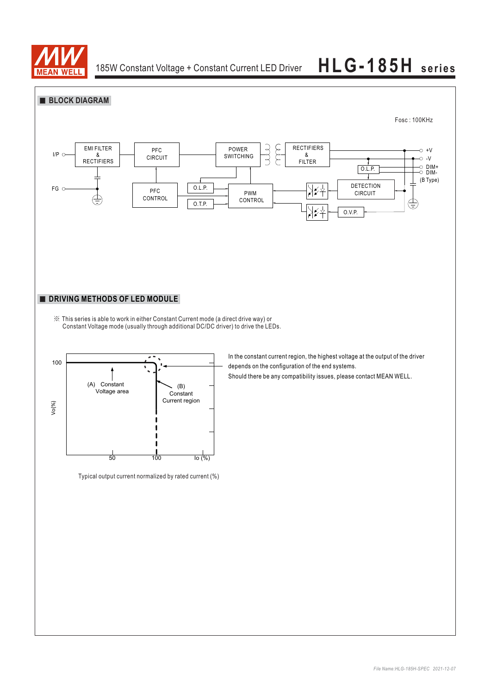

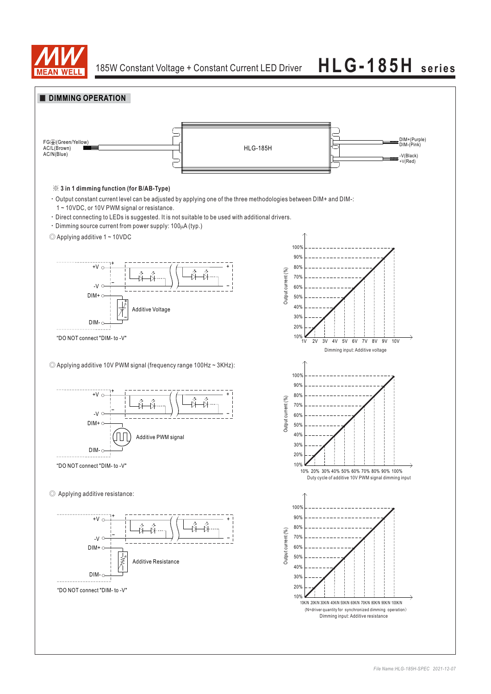

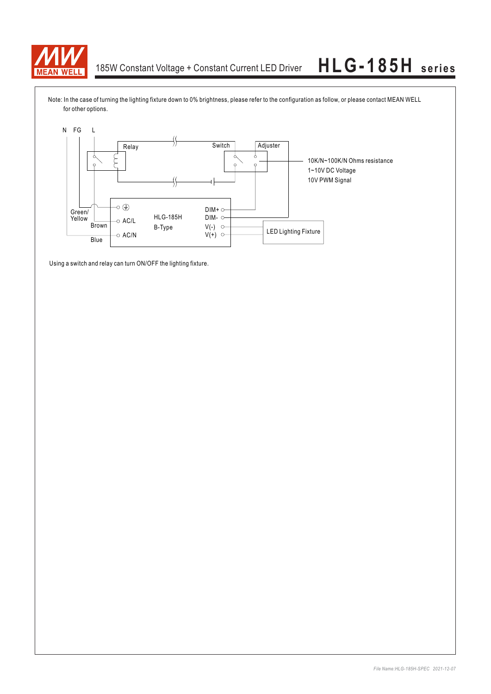

Note: In the case of turning the lighting fixture down to 0% brightness, please refer to the configuration as follow, or please contact MEAN WELL for other options.



Using a switch and relay can turn ON/OFF the lighting fixture.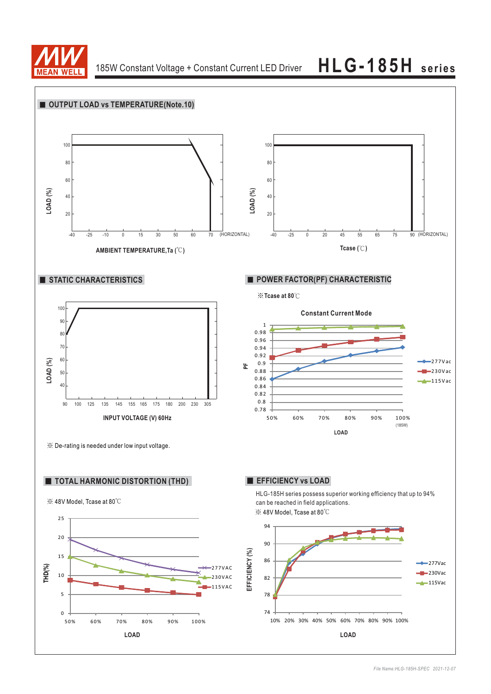

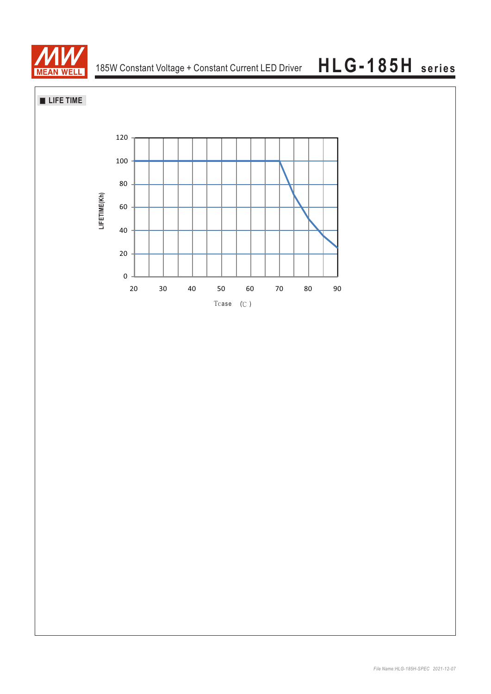

**LIFE TIME**

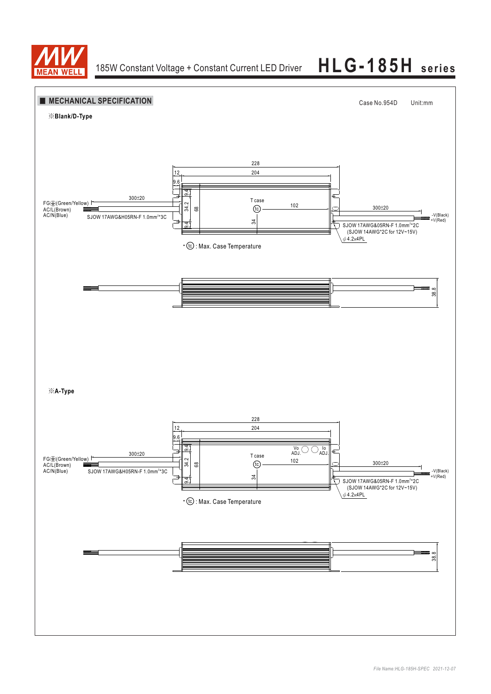

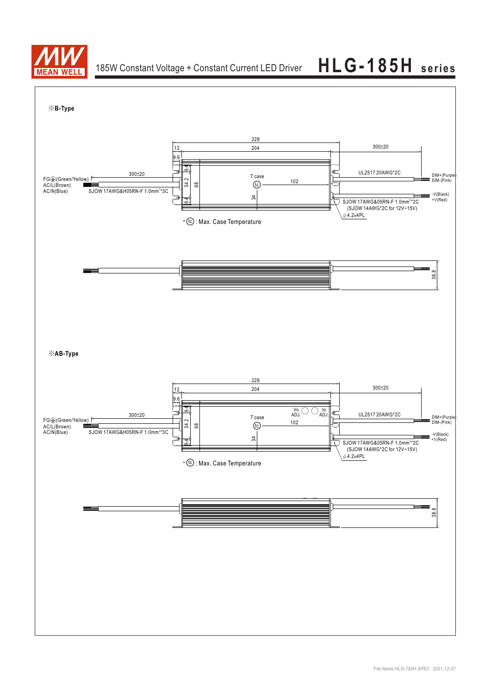